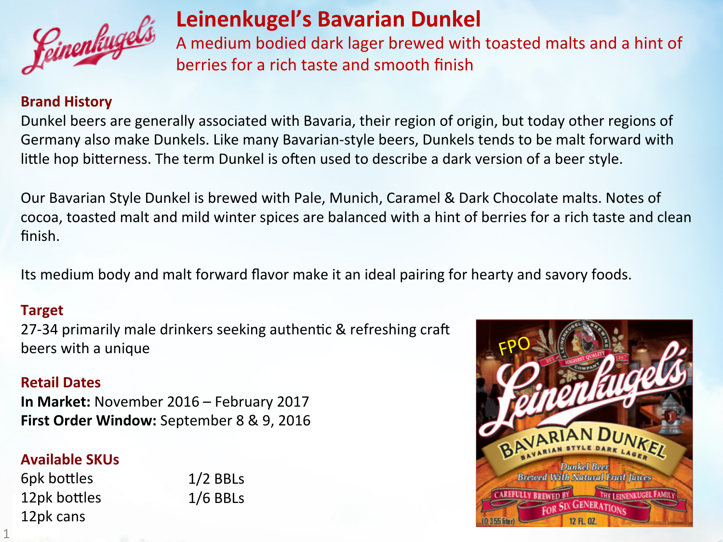

## **Leinenkugel's Bavarian Dunkel**

A medium bodied dark lager brewed with toasted malts and a hint of berries for a rich taste and smooth finish

#### **Brand History**

Dunkel beers are generally associated with Bavaria, their region of origin, but today other regions of Germany also make Dunkels. Like many Bavarian-style beers, Dunkels tends to be malt forward with little hop bitterness. The term Dunkel is often used to describe a dark version of a beer style.

Our Bavarian Style Dunkel is brewed with Pale, Munich, Caramel & Dark Chocolate malts. Notes of cocoa, toasted malt and mild winter spices are balanced with a hint of berries for a rich taste and clean finish. 

Its medium body and malt forward flavor make it an ideal pairing for hearty and savory foods.

#### **Target**

27-34 primarily male drinkers seeking authentic & refreshing craft beers with a unique

#### **Retail Dates**

**In Market:** November 2016 – February 2017 **First Order Window:** September 8 & 9, 2016

### **Available SKUs**

6pk bottles 12pk bottles 12pk cans

1 

 $1/2$  BBLs  $1/6$  BBLs